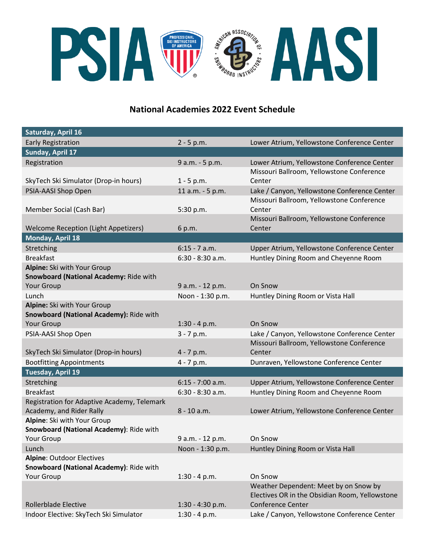

# **National Academies 2022 Event Schedule**

| Saturday, April 16                                                     |                    |                                                |
|------------------------------------------------------------------------|--------------------|------------------------------------------------|
| <b>Early Registration</b>                                              | $2 - 5 p.m.$       | Lower Atrium, Yellowstone Conference Center    |
| Sunday, April 17                                                       |                    |                                                |
| Registration                                                           | 9 a.m. - 5 p.m.    | Lower Atrium, Yellowstone Conference Center    |
|                                                                        |                    | Missouri Ballroom, Yellowstone Conference      |
| SkyTech Ski Simulator (Drop-in hours)                                  | $1 - 5 p.m.$       | Center                                         |
| PSIA-AASI Shop Open                                                    | 11 a.m. - 5 p.m.   | Lake / Canyon, Yellowstone Conference Center   |
|                                                                        |                    | Missouri Ballroom, Yellowstone Conference      |
| Member Social (Cash Bar)                                               | 5:30 p.m.          | Center                                         |
|                                                                        |                    | Missouri Ballroom, Yellowstone Conference      |
| <b>Welcome Reception (Light Appetizers)</b>                            | 6 p.m.             | Center                                         |
| Monday, April 18                                                       |                    |                                                |
| Stretching                                                             | $6:15 - 7$ a.m.    | Upper Atrium, Yellowstone Conference Center    |
| <b>Breakfast</b>                                                       | $6:30 - 8:30$ a.m. | Huntley Dining Room and Cheyenne Room          |
| Alpine: Ski with Your Group                                            |                    |                                                |
| Snowboard (National Academy: Ride with                                 |                    |                                                |
| Your Group                                                             | 9 a.m. - 12 p.m.   | On Snow                                        |
| Lunch                                                                  | Noon - 1:30 p.m.   | Huntley Dining Room or Vista Hall              |
| Alpine: Ski with Your Group<br>Snowboard (National Academy): Ride with |                    |                                                |
| Your Group                                                             | $1:30 - 4 p.m.$    | On Snow                                        |
| PSIA-AASI Shop Open                                                    | $3 - 7 p.m.$       | Lake / Canyon, Yellowstone Conference Center   |
|                                                                        |                    | Missouri Ballroom, Yellowstone Conference      |
| SkyTech Ski Simulator (Drop-in hours)                                  | $4 - 7 p.m.$       | Center                                         |
| <b>Bootfitting Appointments</b>                                        | $4 - 7 p.m.$       | Dunraven, Yellowstone Conference Center        |
| <b>Tuesday, April 19</b>                                               |                    |                                                |
| Stretching                                                             | $6:15 - 7:00$ a.m. | Upper Atrium, Yellowstone Conference Center    |
| <b>Breakfast</b>                                                       | $6:30 - 8:30$ a.m. | Huntley Dining Room and Cheyenne Room          |
| Registration for Adaptive Academy, Telemark                            |                    |                                                |
| Academy, and Rider Rally                                               | 8 - 10 a.m.        | Lower Atrium, Yellowstone Conference Center    |
| Alpine: Ski with Your Group                                            |                    |                                                |
| Snowboard (National Academy): Ride with                                |                    |                                                |
| Your Group                                                             | 9 a.m. - 12 p.m.   | On Snow                                        |
| Lunch                                                                  | Noon - 1:30 p.m.   | Huntley Dining Room or Vista Hall              |
| <b>Alpine: Outdoor Electives</b>                                       |                    |                                                |
| Snowboard (National Academy): Ride with                                |                    |                                                |
| Your Group                                                             | $1:30 - 4 p.m.$    | On Snow                                        |
|                                                                        |                    | Weather Dependent: Meet by on Snow by          |
|                                                                        |                    | Electives OR in the Obsidian Room, Yellowstone |
| <b>Rollerblade Elective</b>                                            | $1:30 - 4:30$ p.m. | <b>Conference Center</b>                       |
| Indoor Elective: SkyTech Ski Simulator                                 | $1:30 - 4 p.m.$    | Lake / Canyon, Yellowstone Conference Center   |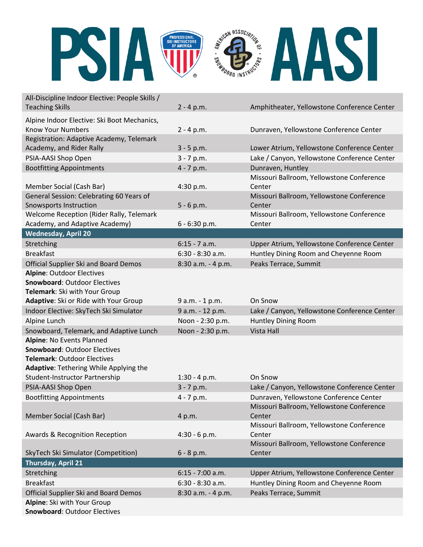

| All-Discipline Indoor Elective: People Skills /                      |                    |                                                     |
|----------------------------------------------------------------------|--------------------|-----------------------------------------------------|
| <b>Teaching Skills</b>                                               | $2 - 4 p.m.$       | Amphitheater, Yellowstone Conference Center         |
| Alpine Indoor Elective: Ski Boot Mechanics,                          |                    |                                                     |
| <b>Know Your Numbers</b>                                             | $2 - 4 p.m.$       | Dunraven, Yellowstone Conference Center             |
| Registration: Adaptive Academy, Telemark                             |                    |                                                     |
| Academy, and Rider Rally                                             | $3 - 5 p.m.$       | Lower Atrium, Yellowstone Conference Center         |
| PSIA-AASI Shop Open                                                  | $3 - 7 p.m.$       | Lake / Canyon, Yellowstone Conference Center        |
| <b>Bootfitting Appointments</b>                                      | $4 - 7 p.m.$       | Dunraven, Huntley                                   |
|                                                                      |                    | Missouri Ballroom, Yellowstone Conference           |
| Member Social (Cash Bar)                                             | 4:30 p.m.          | Center                                              |
| General Session: Celebrating 60 Years of                             |                    | Missouri Ballroom, Yellowstone Conference           |
| <b>Snowsports Instruction</b>                                        | $5 - 6 p.m.$       | Center                                              |
| Welcome Reception (Rider Rally, Telemark                             |                    | Missouri Ballroom, Yellowstone Conference           |
| Academy, and Adaptive Academy)                                       | $6 - 6:30$ p.m.    | Center                                              |
| <b>Wednesday, April 20</b>                                           |                    |                                                     |
| Stretching                                                           | $6:15 - 7$ a.m.    | Upper Atrium, Yellowstone Conference Center         |
| <b>Breakfast</b>                                                     | $6:30 - 8:30$ a.m. | Huntley Dining Room and Cheyenne Room               |
| <b>Official Supplier Ski and Board Demos</b>                         | 8:30 a.m. - 4 p.m. | Peaks Terrace, Summit                               |
| <b>Alpine: Outdoor Electives</b>                                     |                    |                                                     |
| <b>Snowboard: Outdoor Electives</b>                                  |                    |                                                     |
| Telemark: Ski with Your Group                                        |                    |                                                     |
| Adaptive: Ski or Ride with Your Group                                | 9 a.m. - 1 p.m.    | On Snow                                             |
| Indoor Elective: SkyTech Ski Simulator                               | 9 a.m. - 12 p.m.   | Lake / Canyon, Yellowstone Conference Center        |
| Alpine Lunch                                                         | Noon - 2:30 p.m.   | Huntley Dining Room                                 |
| Snowboard, Telemark, and Adaptive Lunch                              | Noon - 2:30 p.m.   | <b>Vista Hall</b>                                   |
| Alpine: No Events Planned                                            |                    |                                                     |
| <b>Snowboard: Outdoor Electives</b>                                  |                    |                                                     |
| <b>Telemark: Outdoor Electives</b>                                   |                    |                                                     |
| Adaptive: Tethering While Applying the                               |                    |                                                     |
| Student-Instructor Partnership                                       | $1:30 - 4 p.m.$    | On Snow                                             |
| PSIA-AASI Shop Open                                                  | $3 - 7 p.m.$       | Lake / Canyon, Yellowstone Conference Center        |
| <b>Bootfitting Appointments</b>                                      | $4 - 7 p.m.$       | Dunraven, Yellowstone Conference Center             |
|                                                                      |                    | Missouri Ballroom, Yellowstone Conference           |
| Member Social (Cash Bar)                                             | 4 p.m.             | Center<br>Missouri Ballroom, Yellowstone Conference |
| Awards & Recognition Reception                                       |                    | Center                                              |
|                                                                      | $4:30 - 6 p.m.$    | Missouri Ballroom, Yellowstone Conference           |
| SkyTech Ski Simulator (Competition)                                  | $6 - 8 p.m.$       | Center                                              |
| Thursday, April 21                                                   |                    |                                                     |
| Stretching                                                           | $6:15 - 7:00$ a.m. |                                                     |
| <b>Breakfast</b>                                                     |                    | Upper Atrium, Yellowstone Conference Center         |
|                                                                      | $6:30 - 8:30$ a.m. | Huntley Dining Room and Cheyenne Room               |
| Official Supplier Ski and Board Demos<br>Alpine: Ski with Your Group | 8:30 a.m. - 4 p.m. | Peaks Terrace, Summit                               |
| <b>Snowboard: Outdoor Electives</b>                                  |                    |                                                     |
|                                                                      |                    |                                                     |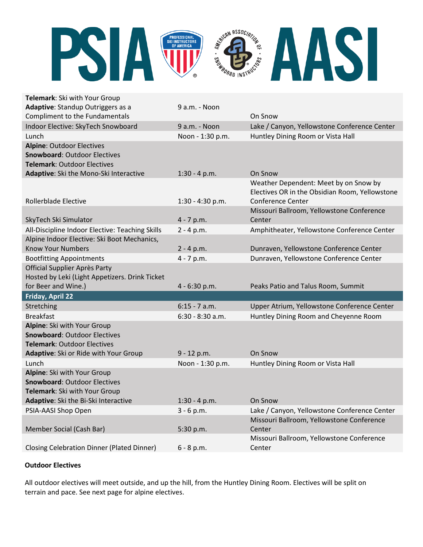

| Telemark: Ski with Your Group                                    |                    |                                                     |
|------------------------------------------------------------------|--------------------|-----------------------------------------------------|
| Adaptive: Standup Outriggers as a                                | 9 a.m. - Noon      |                                                     |
| Compliment to the Fundamentals                                   |                    | On Snow                                             |
| Indoor Elective: SkyTech Snowboard                               | 9 a.m. - Noon      | Lake / Canyon, Yellowstone Conference Center        |
| Lunch                                                            | Noon - 1:30 p.m.   | Huntley Dining Room or Vista Hall                   |
| <b>Alpine: Outdoor Electives</b>                                 |                    |                                                     |
| <b>Snowboard: Outdoor Electives</b>                              |                    |                                                     |
| <b>Telemark: Outdoor Electives</b>                               |                    |                                                     |
| Adaptive: Ski the Mono-Ski Interactive                           | $1:30 - 4 p.m.$    | On Snow                                             |
|                                                                  |                    | Weather Dependent: Meet by on Snow by               |
|                                                                  |                    | Electives OR in the Obsidian Room, Yellowstone      |
| Rollerblade Elective                                             | 1:30 - 4:30 p.m.   | Conference Center                                   |
| SkyTech Ski Simulator                                            | $4 - 7 p.m.$       | Missouri Ballroom, Yellowstone Conference<br>Center |
| All-Discipline Indoor Elective: Teaching Skills                  | $2 - 4 p.m.$       | Amphitheater, Yellowstone Conference Center         |
| Alpine Indoor Elective: Ski Boot Mechanics,                      |                    |                                                     |
| <b>Know Your Numbers</b>                                         | $2 - 4 p.m.$       | Dunraven, Yellowstone Conference Center             |
|                                                                  |                    |                                                     |
| <b>Bootfitting Appointments</b><br>Official Supplier Après Party | $4 - 7 p.m.$       | Dunraven, Yellowstone Conference Center             |
| Hosted by Leki (Light Appetizers. Drink Ticket                   |                    |                                                     |
| for Beer and Wine.)                                              | 4 - 6:30 p.m.      | Peaks Patio and Talus Room, Summit                  |
| Friday, April 22                                                 |                    |                                                     |
| Stretching                                                       | $6:15 - 7$ a.m.    | Upper Atrium, Yellowstone Conference Center         |
| <b>Breakfast</b>                                                 | $6:30 - 8:30$ a.m. | Huntley Dining Room and Cheyenne Room               |
| Alpine: Ski with Your Group                                      |                    |                                                     |
| <b>Snowboard: Outdoor Electives</b>                              |                    |                                                     |
| <b>Telemark: Outdoor Electives</b>                               |                    |                                                     |
| Adaptive: Ski or Ride with Your Group                            | 9 - 12 p.m.        | On Snow                                             |
| Lunch                                                            |                    |                                                     |
|                                                                  |                    |                                                     |
|                                                                  | Noon - 1:30 p.m.   | Huntley Dining Room or Vista Hall                   |
| Alpine: Ski with Your Group                                      |                    |                                                     |
| <b>Snowboard: Outdoor Electives</b>                              |                    |                                                     |
| Telemark: Ski with Your Group                                    |                    | On Snow                                             |
| Adaptive: Ski the Bi-Ski Interactive                             | $1:30 - 4 p.m.$    |                                                     |
| PSIA-AASI Shop Open                                              | $3 - 6 p.m.$       | Lake / Canyon, Yellowstone Conference Center        |
|                                                                  | 5:30 p.m.          | Missouri Ballroom, Yellowstone Conference<br>Center |
| Member Social (Cash Bar)                                         |                    | Missouri Ballroom, Yellowstone Conference           |
| <b>Closing Celebration Dinner (Plated Dinner)</b>                | $6 - 8 p.m.$       | Center                                              |

## **Outdoor Electives**

All outdoor electives will meet outside, and up the hill, from the Huntley Dining Room. Electives will be split on terrain and pace. See next page for alpine electives.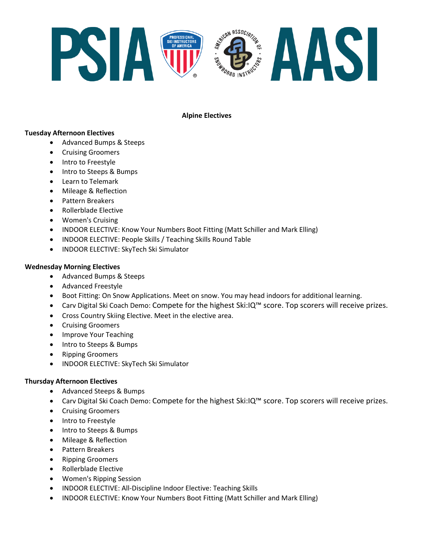

## **Alpine Electives**

### **Tuesday Afternoon Electives**

- Advanced Bumps & Steeps
- Cruising Groomers
- Intro to Freestyle
- Intro to Steeps & Bumps
- Learn to Telemark
- Mileage & Reflection
- Pattern Breakers
- Rollerblade Elective
- Women's Cruising
- INDOOR ELECTIVE: Know Your Numbers Boot Fitting (Matt Schiller and Mark Elling)
- INDOOR ELECTIVE: People Skills / Teaching Skills Round Table
- INDOOR ELECTIVE: SkyTech Ski Simulator

#### **Wednesday Morning Electives**

- Advanced Bumps & Steeps
- Advanced Freestyle
- Boot Fitting: On Snow Applications. Meet on snow. You may head indoors for additional learning.
- Carv Digital Ski Coach Demo: Compete for the highest Ski:IQ™ score. Top scorers will receive prizes.
- Cross Country Skiing Elective. Meet in the elective area.
- Cruising Groomers
- Improve Your Teaching
- Intro to Steeps & Bumps
- Ripping Groomers
- INDOOR ELECTIVE: SkyTech Ski Simulator

#### **Thursday Afternoon Electives**

- Advanced Steeps & Bumps
- Carv Digital Ski Coach Demo: Compete for the highest Ski:IQ™ score. Top scorers will receive prizes.
- Cruising Groomers
- Intro to Freestyle
- Intro to Steeps & Bumps
- Mileage & Reflection
- Pattern Breakers
- Ripping Groomers
- Rollerblade Elective
- Women's Ripping Session
- INDOOR ELECTIVE: All-Discipline Indoor Elective: Teaching Skills
- INDOOR ELECTIVE: Know Your Numbers Boot Fitting (Matt Schiller and Mark Elling)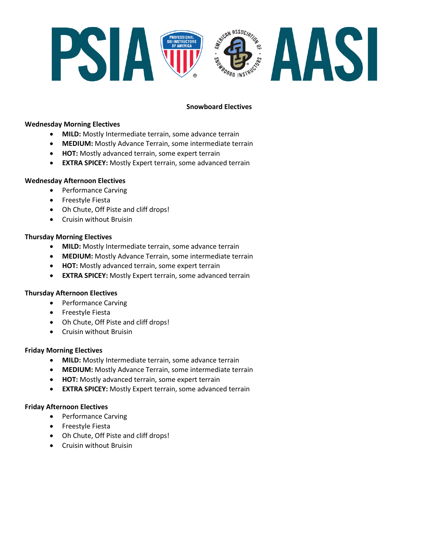

## **Snowboard Electives**

#### **Wednesday Morning Electives**

- **MILD:** Mostly Intermediate terrain, some advance terrain
- **MEDIUM:** Mostly Advance Terrain, some intermediate terrain
- **HOT:** Mostly advanced terrain, some expert terrain
- **EXTRA SPICEY:** Mostly Expert terrain, some advanced terrain

#### **Wednesday Afternoon Electives**

- Performance Carving
- Freestyle Fiesta
- Oh Chute, Off Piste and cliff drops!
- Cruisin without Bruisin

#### **Thursday Morning Electives**

- **MILD:** Mostly Intermediate terrain, some advance terrain
- **MEDIUM:** Mostly Advance Terrain, some intermediate terrain
- **HOT:** Mostly advanced terrain, some expert terrain
- **EXTRA SPICEY:** Mostly Expert terrain, some advanced terrain

#### **Thursday Afternoon Electives**

- Performance Carving
- Freestyle Fiesta
- Oh Chute, Off Piste and cliff drops!
- Cruisin without Bruisin

#### **Friday Morning Electives**

- **MILD:** Mostly Intermediate terrain, some advance terrain
- **MEDIUM:** Mostly Advance Terrain, some intermediate terrain
- **HOT:** Mostly advanced terrain, some expert terrain
- **EXTRA SPICEY:** Mostly Expert terrain, some advanced terrain

#### **Friday Afternoon Electives**

- Performance Carving
- Freestyle Fiesta
- Oh Chute, Off Piste and cliff drops!
- Cruisin without Bruisin